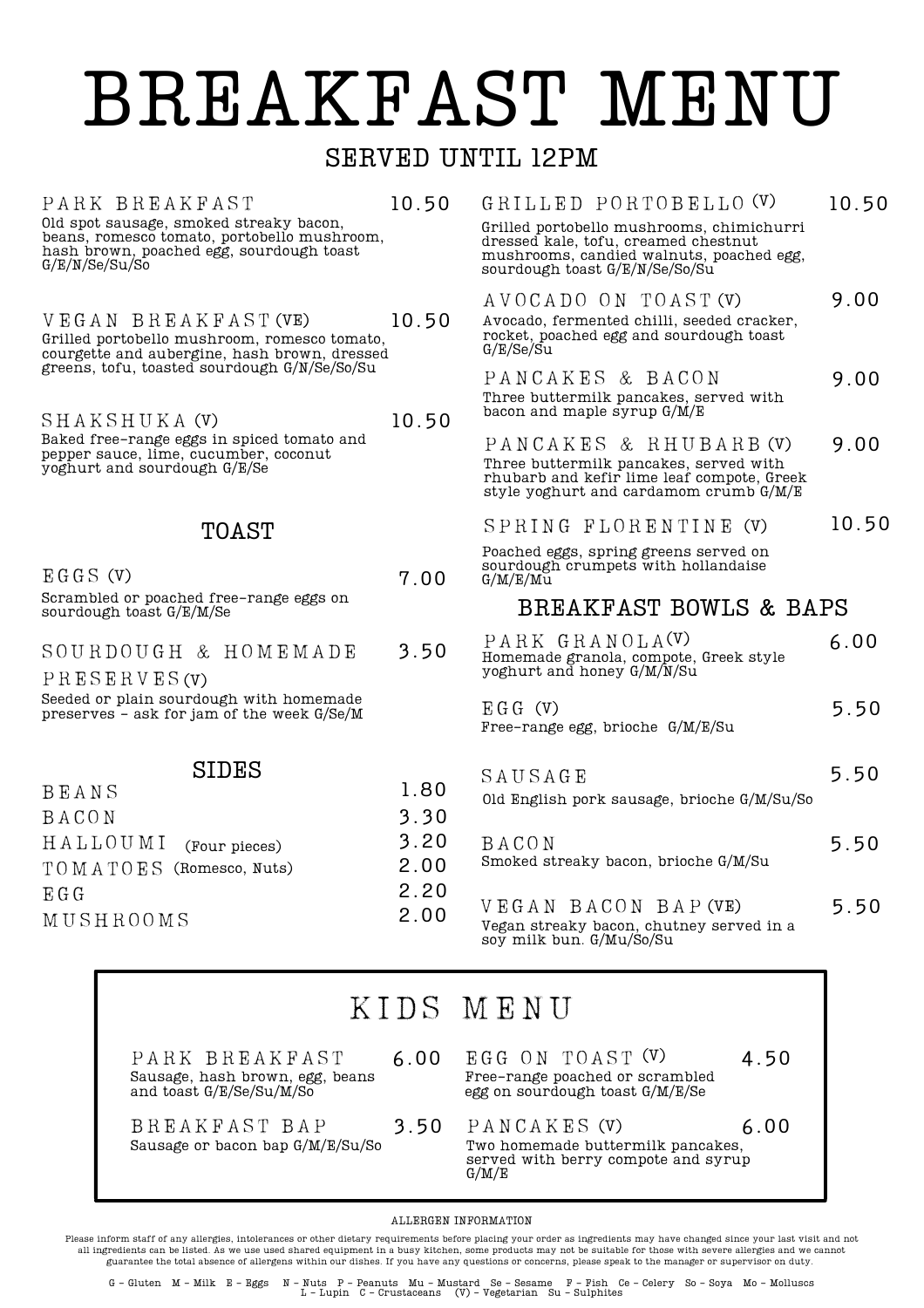## BREAKFAST MENU

## SERVED UNTIL 12PM

| PARK BREAKFAST                                                                                                                                       | 10.50 | GRILLED PORTOBELLO (V)                                                                                                                                          | 10.50 |
|------------------------------------------------------------------------------------------------------------------------------------------------------|-------|-----------------------------------------------------------------------------------------------------------------------------------------------------------------|-------|
| Old spot sausage, smoked streaky bacon,<br>beans, romesco tomato, portobello mushroom,<br>hash brown, poached egg, sourdough toast<br>G/E/N/Se/Su/So |       | Grilled portobello mushrooms, chimichurri<br>dressed kale, tofu, creamed chestnut<br>mushrooms, candied walnuts, poached egg,<br>sourdough toast G/E/N/Se/So/Su |       |
|                                                                                                                                                      |       | AVOCADO ON TOAST (V)                                                                                                                                            | 9.00  |
| VEGAN BREAKFAST (VE)<br>Grilled portobello mushroom, romesco tomato,<br>courgette and aubergine, hash brown, dressed                                 | 10.50 | Avocado, fermented chilli, seeded cracker,<br>rocket, poached egg and sourdough toast<br>G/E/Se/Su                                                              |       |
| greens, tofu, toasted sourdough G/N/Se/So/Su                                                                                                         |       | PANCAKES & BACON                                                                                                                                                | 9.00  |
|                                                                                                                                                      |       | Three buttermilk pancakes, served with<br>bacon and maple syrup G/M/E                                                                                           |       |
| SHAKSHUKA (V)<br>Baked free-range eggs in spiced tomato and                                                                                          | 10.50 | PANCAKES & RHUBARB (V)                                                                                                                                          | 9.00  |
| pepper sauce, lime, cucumber, coconut<br>yoghurt and sourdough G/E/Se                                                                                |       | Three buttermilk pancakes, served with<br>rhubarb and kefir lime leaf compote, Greek<br>style yoghurt and cardamom crumb G/M/E                                  |       |
| TOAST                                                                                                                                                |       | SPRING FLORENTINE (V)                                                                                                                                           | 10.50 |
| $EGGS$ (V)                                                                                                                                           | 7.00  | Poached eggs, spring greens served on<br>sourdough crumpets with hollandaise<br>G/M/E/Mu                                                                        |       |
| Scrambled or poached free-range eggs on<br>sourdough toast G/E/M/Se                                                                                  |       | BREAKFAST BOWLS & BAPS                                                                                                                                          |       |
|                                                                                                                                                      |       |                                                                                                                                                                 |       |
| SOURDOUGH & HOMEMADE                                                                                                                                 | 3.50  | PARK GRANOLA <sub>(V)</sub><br>Homemade granola, compote, Greek style                                                                                           | 6.00  |
| PRESERVES(V)                                                                                                                                         |       | yoghurt and honey G/M/N/Su                                                                                                                                      |       |
| Seeded or plain sourdough with homemade<br>preserves - ask for jam of the week G/Se/M                                                                |       | EGG (V)                                                                                                                                                         | 5.50  |
|                                                                                                                                                      |       | Free-range egg, brioche G/M/E/Su                                                                                                                                |       |
| <b>SIDES</b>                                                                                                                                         |       |                                                                                                                                                                 | 5.50  |
| BEANS                                                                                                                                                | 1.80  | SAUSAGE<br>Old English pork sausage, brioche G/M/Su/So                                                                                                          |       |
| BACON                                                                                                                                                | 3.30  |                                                                                                                                                                 |       |
| HALLOUMI<br>(Four pieces)                                                                                                                            | 3.20  | BACON                                                                                                                                                           | 5.50  |
| TOMATOES (Romesco, Nuts)                                                                                                                             | 2.00  | Smoked streaky bacon, brioche G/M/Su                                                                                                                            |       |
| E G G                                                                                                                                                | 2.20  | VEGAN BACON BAP (VE)                                                                                                                                            |       |
| MUSHROOMS                                                                                                                                            | 2.00  | Vegan streaky bacon, chutney served in a                                                                                                                        | 5.50  |

|                                                                               |      | KIDS MENU                                                                                         |      |
|-------------------------------------------------------------------------------|------|---------------------------------------------------------------------------------------------------|------|
| PARK BREAKFAST<br>Sausage, hash brown, egg, beans<br>and toast G/E/Se/Su/M/So |      | 6.00 EGG ON TOAST $(V)$<br>Free-range poached or scrambled<br>egg on sourdough toast G/M/E/Se     | 4.50 |
| BREAKFAST BAP<br>Sausage or bacon bap G/M/E/Su/So                             | 3.50 | PANCAKES (V)<br>Two homemade buttermilk pancakes,<br>served with berry compote and syrup<br>G/M/E | 6.00 |

soy milk bun. G/Mu/So/Su

ALLERGEN INFORMATION

Please inform staff of any allergies, intolerances or other dietary requirements before placing your order as ingredients may have changed since your last visit and not all ingredients can be listed. As we use used shared equipment in a busy kitchen, some products may not be suitable for those with severe allergies and we cannot guarantee the total absence of allergens within our dishes. If you have any questions or concerns, please speak to the manager or supervisor on duty.